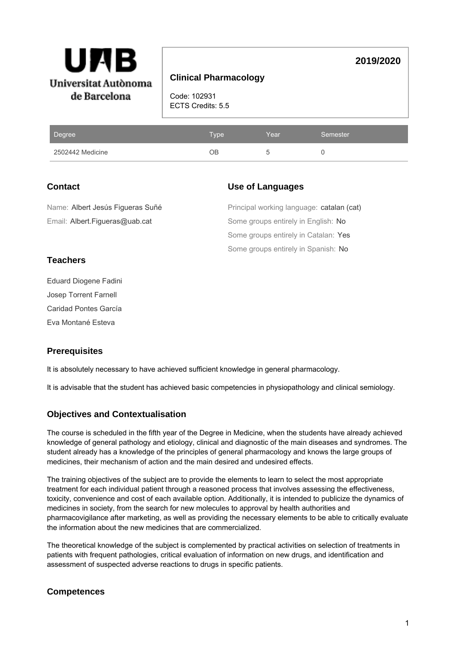

### **Clinical Pharmacology**

Code: 102931 ECTS Credits: 5.5

| Degree           | <b>Type</b> | Year | Semester |
|------------------|-------------|------|----------|
| 2502442 Medicine | ОB          |      |          |

## **Contact**

### **Use of Languages**

**2019/2020**

Some groups entirely in Spanish: No Some groups entirely in Catalan: Yes Some groups entirely in English: No Principal working language: catalan (cat) Email: Albert.Figueras@uab.cat Name: Albert Jesús Figueras Suñé

## **Teachers**

Eduard Diogene Fadini Josep Torrent Farnell Caridad Pontes García Eva Montané Esteva

# **Prerequisites**

It is absolutely necessary to have achieved sufficient knowledge in general pharmacology.

It is advisable that the student has achieved basic competencies in physiopathology and clinical semiology.

## **Objectives and Contextualisation**

The course is scheduled in the fifth year of the Degree in Medicine, when the students have already achieved knowledge of general pathology and etiology, clinical and diagnostic of the main diseases and syndromes. The student already has a knowledge of the principles of general pharmacology and knows the large groups of medicines, their mechanism of action and the main desired and undesired effects.

The training objectives of the subject are to provide the elements to learn to select the most appropriate treatment for each individual patient through a reasoned process that involves assessing the effectiveness, toxicity, convenience and cost of each available option. Additionally, it is intended to publicize the dynamics of medicines in society, from the search for new molecules to approval by health authorities and pharmacovigilance after marketing, as well as providing the necessary elements to be able to critically evaluate the information about the new medicines that are commercialized.

The theoretical knowledge of the subject is complemented by practical activities on selection of treatments in patients with frequent pathologies, critical evaluation of information on new drugs, and identification and assessment of suspected adverse reactions to drugs in specific patients.

# **Competences**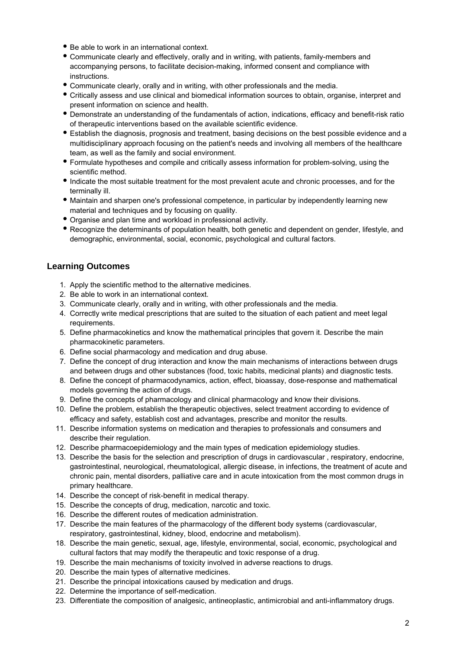- Be able to work in an international context.
- Communicate clearly and effectively, orally and in writing, with patients, family-members and accompanying persons, to facilitate decision-making, informed consent and compliance with instructions.
- Communicate clearly, orally and in writing, with other professionals and the media.
- Critically assess and use clinical and biomedical information sources to obtain, organise, interpret and present information on science and health.
- Demonstrate an understanding of the fundamentals of action, indications, efficacy and benefit-risk ratio of therapeutic interventions based on the available scientific evidence.
- Establish the diagnosis, prognosis and treatment, basing decisions on the best possible evidence and a multidisciplinary approach focusing on the patient's needs and involving all members of the healthcare team, as well as the family and social environment.
- Formulate hypotheses and compile and critically assess information for problem-solving, using the scientific method.
- Indicate the most suitable treatment for the most prevalent acute and chronic processes, and for the terminally ill.
- Maintain and sharpen one's professional competence, in particular by independently learning new material and techniques and by focusing on quality.
- Organise and plan time and workload in professional activity.
- Recognize the determinants of population health, both genetic and dependent on gender, lifestyle, and demographic, environmental, social, economic, psychological and cultural factors.

### **Learning Outcomes**

- 1. Apply the scientific method to the alternative medicines.
- 2. Be able to work in an international context.
- 3. Communicate clearly, orally and in writing, with other professionals and the media.
- 4. Correctly write medical prescriptions that are suited to the situation of each patient and meet legal requirements.
- 5. Define pharmacokinetics and know the mathematical principles that govern it. Describe the main pharmacokinetic parameters.
- 6. Define social pharmacology and medication and drug abuse.
- 7. Define the concept of drug interaction and know the main mechanisms of interactions between drugs and between drugs and other substances (food, toxic habits, medicinal plants) and diagnostic tests.
- 8. Define the concept of pharmacodynamics, action, effect, bioassay, dose-response and mathematical models governing the action of drugs.
- 9. Define the concepts of pharmacology and clinical pharmacology and know their divisions.
- 10. Define the problem, establish the therapeutic objectives, select treatment according to evidence of efficacy and safety, establish cost and advantages, prescribe and monitor the results.
- 11. Describe information systems on medication and therapies to professionals and consumers and describe their regulation.
- 12. Describe pharmacoepidemiology and the main types of medication epidemiology studies.
- 13. Describe the basis for the selection and prescription of drugs in cardiovascular , respiratory, endocrine, gastrointestinal, neurological, rheumatological, allergic disease, in infections, the treatment of acute and chronic pain, mental disorders, palliative care and in acute intoxication from the most common drugs in primary healthcare.
- 14. Describe the concept of risk-benefit in medical therapy.
- 15. Describe the concepts of drug, medication, narcotic and toxic.
- 16. Describe the different routes of medication administration.
- 17. Describe the main features of the pharmacology of the different body systems (cardiovascular, respiratory, gastrointestinal, kidney, blood, endocrine and metabolism).
- 18. Describe the main genetic, sexual, age, lifestyle, environmental, social, economic, psychological and cultural factors that may modify the therapeutic and toxic response of a drug.
- 19. Describe the main mechanisms of toxicity involved in adverse reactions to drugs.
- 20. Describe the main types of alternative medicines.
- 21. Describe the principal intoxications caused by medication and drugs.
- 22. Determine the importance of self-medication.
- 23. Differentiate the composition of analgesic, antineoplastic, antimicrobial and anti-inflammatory drugs.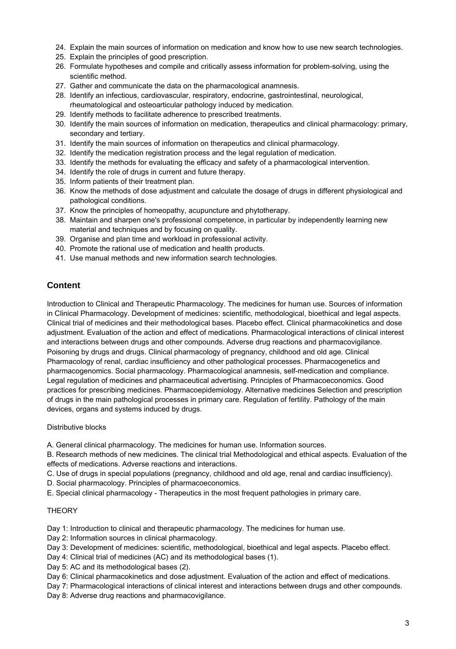- 24. Explain the main sources of information on medication and know how to use new search technologies.
- 25. Explain the principles of good prescription.
- 26. Formulate hypotheses and compile and critically assess information for problem-solving, using the scientific method.
- 27. Gather and communicate the data on the pharmacological anamnesis.
- 28. Identify an infectious, cardiovascular, respiratory, endocrine, gastrointestinal, neurological, rheumatological and osteoarticular pathology induced by medication.
- 29. Identify methods to facilitate adherence to prescribed treatments.
- 30. Identify the main sources of information on medication, therapeutics and clinical pharmacology: primary, secondary and tertiary.
- 31. Identify the main sources of information on therapeutics and clinical pharmacology.
- 32. Identify the medication registration process and the legal regulation of medication.
- 33. Identify the methods for evaluating the efficacy and safety of a pharmacological intervention.
- 34. Identify the role of drugs in current and future therapy.
- 35. Inform patients of their treatment plan.
- 36. Know the methods of dose adjustment and calculate the dosage of drugs in different physiological and pathological conditions.
- 37. Know the principles of homeopathy, acupuncture and phytotherapy.
- 38. Maintain and sharpen one's professional competence, in particular by independently learning new material and techniques and by focusing on quality.
- 39. Organise and plan time and workload in professional activity.
- 40. Promote the rational use of medication and health products.
- 41. Use manual methods and new information search technologies.

## **Content**

Introduction to Clinical and Therapeutic Pharmacology. The medicines for human use. Sources of information in Clinical Pharmacology. Development of medicines: scientific, methodological, bioethical and legal aspects. Clinical trial of medicines and their methodological bases. Placebo effect. Clinical pharmacokinetics and dose adjustment. Evaluation of the action and effect of medications. Pharmacological interactions of clinical interest and interactions between drugs and other compounds. Adverse drug reactions and pharmacovigilance. Poisoning by drugs and drugs. Clinical pharmacology of pregnancy, childhood and old age. Clinical Pharmacology of renal, cardiac insufficiency and other pathological processes. Pharmacogenetics and pharmacogenomics. Social pharmacology. Pharmacological anamnesis, self-medication and compliance. Legal regulation of medicines and pharmaceutical advertising. Principles of Pharmacoeconomics. Good practices for prescribing medicines. Pharmacoepidemiology. Alternative medicines Selection and prescription of drugs in the main pathological processes in primary care. Regulation of fertility. Pathology of the main devices, organs and systems induced by drugs.

#### Distributive blocks

A. General clinical pharmacology. The medicines for human use. Information sources.

B. Research methods of new medicines. The clinical trial Methodological and ethical aspects. Evaluation of the effects of medications. Adverse reactions and interactions.

- C. Use of drugs in special populations (pregnancy, childhood and old age, renal and cardiac insufficiency).
- D. Social pharmacology. Principles of pharmacoeconomics.
- E. Special clinical pharmacology Therapeutics in the most frequent pathologies in primary care.

#### **THEORY**

Day 1: Introduction to clinical and therapeutic pharmacology. The medicines for human use.

- Day 2: Information sources in clinical pharmacology.
- Day 3: Development of medicines: scientific, methodological, bioethical and legal aspects. Placebo effect.
- Day 4: Clinical trial of medicines (AC) and its methodological bases (1).
- Day 5: AC and its methodological bases (2).
- Day 6: Clinical pharmacokinetics and dose adjustment. Evaluation of the action and effect of medications.

Day 7: Pharmacological interactions of clinical interest and interactions between drugs and other compounds.

Day 8: Adverse drug reactions and pharmacovigilance.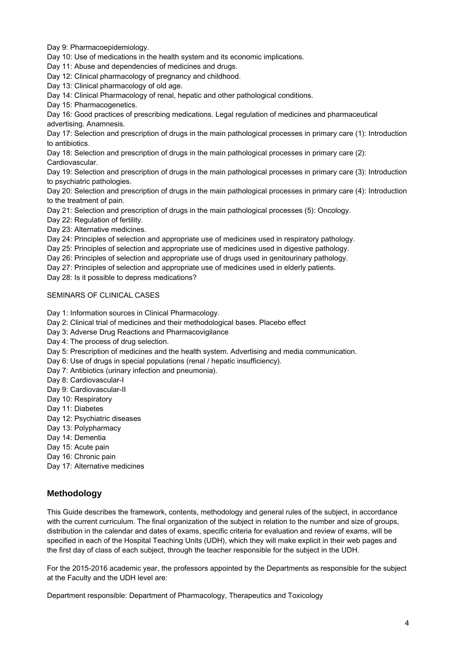Day 9: Pharmacoepidemiology.

Day 10: Use of medications in the health system and its economic implications.

Day 11: Abuse and dependencies of medicines and drugs.

Day 12: Clinical pharmacology of pregnancy and childhood.

Day 13: Clinical pharmacology of old age.

Day 14: Clinical Pharmacology of renal, hepatic and other pathological conditions.

Day 15: Pharmacogenetics.

Day 16: Good practices of prescribing medications. Legal regulation of medicines and pharmaceutical advertising. Anamnesis.

Day 17: Selection and prescription of drugs in the main pathological processes in primary care (1): Introduction to antibiotics.

Day 18: Selection and prescription of drugs in the main pathological processes in primary care (2): Cardiovascular.

Day 19: Selection and prescription of drugs in the main pathological processes in primary care (3): Introduction to psychiatric pathologies.

Day 20: Selection and prescription of drugs in the main pathological processes in primary care (4): Introduction to the treatment of pain.

Day 21: Selection and prescription of drugs in the main pathological processes (5): Oncology.

Day 22: Regulation of fertility.

Day 23: Alternative medicines.

Day 24: Principles of selection and appropriate use of medicines used in respiratory pathology.

Day 25: Principles of selection and appropriate use of medicines used in digestive pathology.

Day 26: Principles of selection and appropriate use of drugs used in genitourinary pathology.

Day 27: Principles of selection and appropriate use of medicines used in elderly patients.

Day 28: Is it possible to depress medications?

#### SEMINARS OF CLINICAL CASES

Day 1: Information sources in Clinical Pharmacology.

Day 2: Clinical trial of medicines and their methodological bases. Placebo effect

Day 3: Adverse Drug Reactions and Pharmacovigilance

Day 4: The process of drug selection.

Day 5: Prescription of medicines and the health system. Advertising and media communication.

Day 6: Use of drugs in special populations (renal / hepatic insufficiency).

Day 7: Antibiotics (urinary infection and pneumonia).

Day 8: Cardiovascular-I

Day 9: Cardiovascular-II

Day 10: Respiratory

Day 11: Diabetes

Day 12: Psychiatric diseases

Day 13: Polypharmacy

Day 14: Dementia

Day 15: Acute pain

Day 16: Chronic pain

Day 17: Alternative medicines

#### **Methodology**

This Guide describes the framework, contents, methodology and general rules of the subject, in accordance with the current curriculum. The final organization of the subject in relation to the number and size of groups, distribution in the calendar and dates of exams, specific criteria for evaluation and review of exams, will be specified in each of the Hospital Teaching Units (UDH), which they will make explicit in their web pages and the first day of class of each subject, through the teacher responsible for the subject in the UDH.

For the 2015-2016 academic year, the professors appointed by the Departments as responsible for the subject at the Faculty and the UDH level are:

Department responsible: Department of Pharmacology, Therapeutics and Toxicology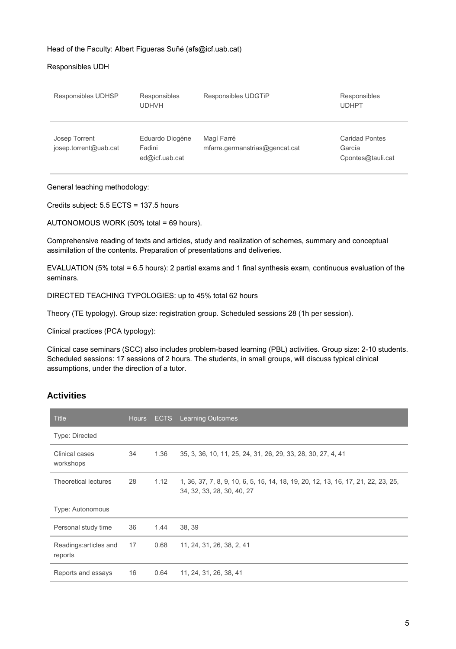#### Head of the Faculty: Albert Figueras Suñé (afs@icf.uab.cat)

#### Responsibles UDH

| Responsibles UDHSP                     | Responsibles<br><b>UDHVH</b>                | Responsibles UDGTiP                          | Responsibles<br><b>UDHPT</b>                         |
|----------------------------------------|---------------------------------------------|----------------------------------------------|------------------------------------------------------|
| Josep Torrent<br>josep.torrent@uab.cat | Eduardo Diogène<br>Fadini<br>ed@icf.uab.cat | Magí Farré<br>mfarre.germanstrias@gencat.cat | <b>Caridad Pontes</b><br>García<br>Cpontes@tauli.cat |

#### General teaching methodology:

Credits subject: 5.5 ECTS = 137.5 hours

AUTONOMOUS WORK (50% total = 69 hours).

Comprehensive reading of texts and articles, study and realization of schemes, summary and conceptual assimilation of the contents. Preparation of presentations and deliveries.

EVALUATION (5% total = 6.5 hours): 2 partial exams and 1 final synthesis exam, continuous evaluation of the seminars.

DIRECTED TEACHING TYPOLOGIES: up to 45% total 62 hours

Theory (TE typology). Group size: registration group. Scheduled sessions 28 (1h per session).

Clinical practices (PCA typology):

Clinical case seminars (SCC) also includes problem-based learning (PBL) activities. Group size: 2-10 students. Scheduled sessions: 17 sessions of 2 hours. The students, in small groups, will discuss typical clinical assumptions, under the direction of a tutor.

## **Activities**

| <b>Title</b>                      | <b>Hours</b> | <b>ECTS</b> | <b>Learning Outcomes</b>                                                                                        |
|-----------------------------------|--------------|-------------|-----------------------------------------------------------------------------------------------------------------|
| <b>Type: Directed</b>             |              |             |                                                                                                                 |
| Clinical cases<br>workshops       | 34           | 1.36        | 35, 3, 36, 10, 11, 25, 24, 31, 26, 29, 33, 28, 30, 27, 4, 41                                                    |
| Theoretical lectures              | 28           | 1.12        | 1, 36, 37, 7, 8, 9, 10, 6, 5, 15, 14, 18, 19, 20, 12, 13, 16, 17, 21, 22, 23, 25,<br>34, 32, 33, 28, 30, 40, 27 |
| Type: Autonomous                  |              |             |                                                                                                                 |
| Personal study time               | 36           | 1.44        | 38, 39                                                                                                          |
| Readings: articles and<br>reports | 17           | 0.68        | 11, 24, 31, 26, 38, 2, 41                                                                                       |
| Reports and essays                | 16           | 0.64        | 11, 24, 31, 26, 38, 41                                                                                          |